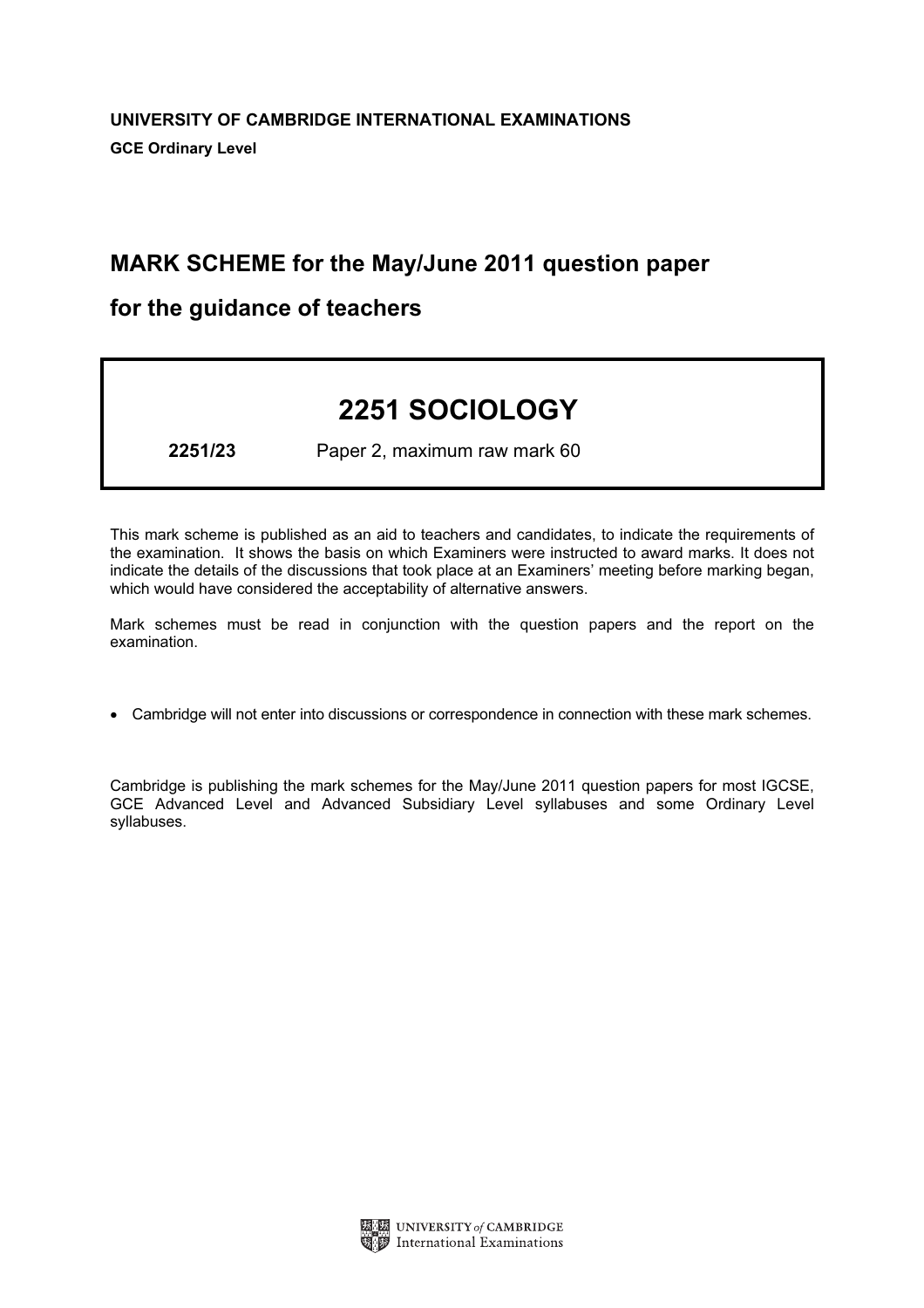# MARK SCHEME for the May/June 2011 question paper

# for the guidance of teachers

# 2251 SOCIOLOGY

2251/23 Paper 2, maximum raw mark 60

This mark scheme is published as an aid to teachers and candidates, to indicate the requirements of the examination. It shows the basis on which Examiners were instructed to award marks. It does not indicate the details of the discussions that took place at an Examiners' meeting before marking began, which would have considered the acceptability of alternative answers.

Mark schemes must be read in conjunction with the question papers and the report on the examination.

*•* Cambridge will not enter into discussions or correspondence in connection with these mark schemes.

Cambridge is publishing the mark schemes for the May/June 2011 question papers for most IGCSE, GCE Advanced Level and Advanced Subsidiary Level syllabuses and some Ordinary Level syllabuses.

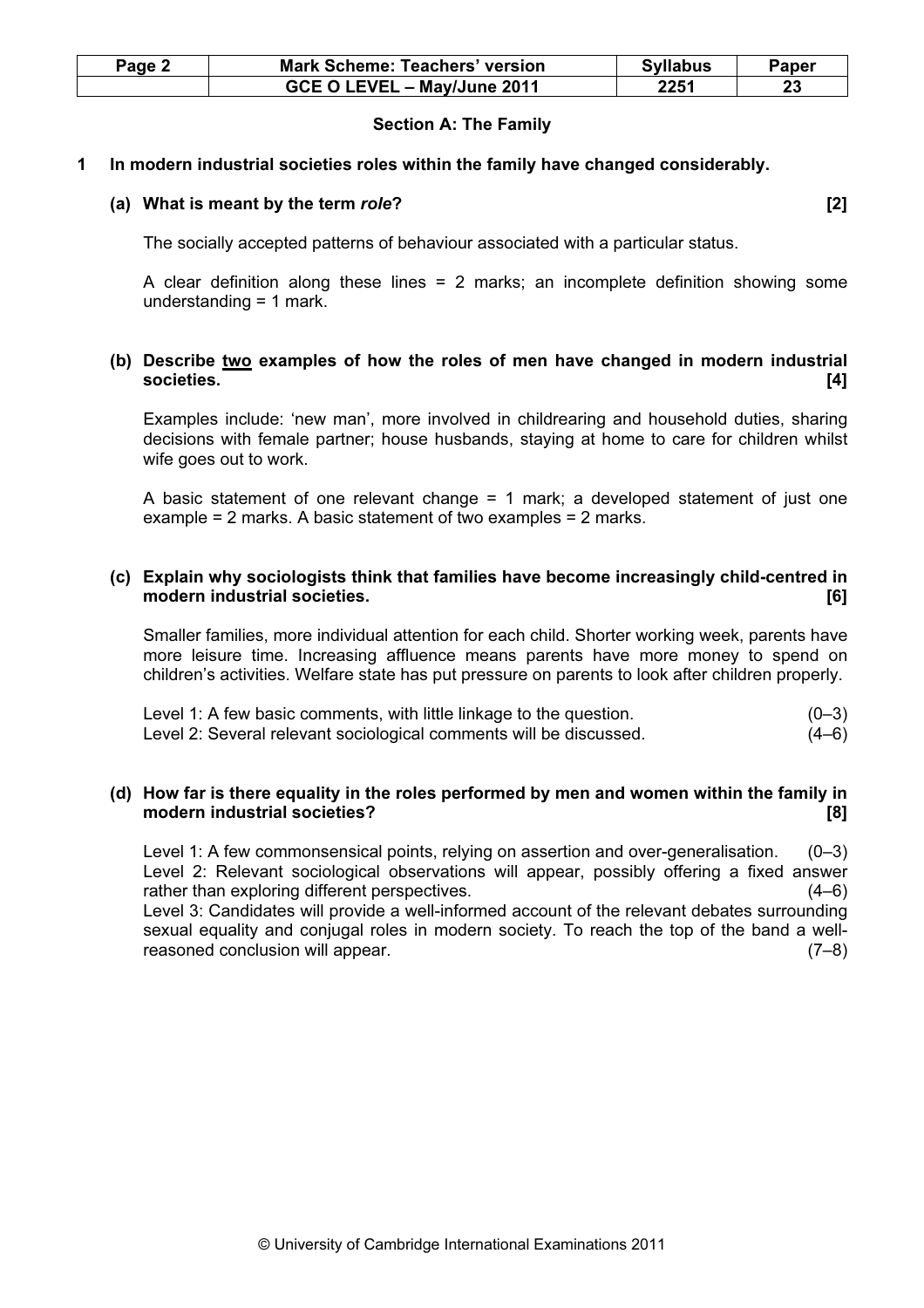| Page 2 | <b>Mark Scheme: Teachers' version</b> | <b>Syllabus</b> | Paper |
|--------|---------------------------------------|-----------------|-------|
|        | GCE O LEVEL - May/June 2011           | 2251            | 23    |

#### Section A: The Family

#### 1 In modern industrial societies roles within the family have changed considerably.

#### (a) What is meant by the term role? *I***Q** is the term in the set of the set of the set of the set of the set of the set of the set of the set of the set of the set of the set of the set of the set of the set of the set of

The socially accepted patterns of behaviour associated with a particular status.

A clear definition along these lines = 2 marks; an incomplete definition showing some understanding = 1 mark.

# (b) Describe two examples of how the roles of men have changed in modern industrial societies. [4]

Examples include: 'new man', more involved in childrearing and household duties, sharing decisions with female partner; house husbands, staying at home to care for children whilst wife goes out to work.

A basic statement of one relevant change = 1 mark; a developed statement of just one example = 2 marks. A basic statement of two examples = 2 marks.

# (c) Explain why sociologists think that families have become increasingly child-centred in modern industrial societies. **Example 20** and the set of the set of the set of the set of the set of the set of the set of the set of the set of the set of the set of the set of the set of the set of the set of the set of

Smaller families, more individual attention for each child. Shorter working week, parents have more leisure time. Increasing affluence means parents have more money to spend on children's activities. Welfare state has put pressure on parents to look after children properly.

Level 1: A few basic comments, with little linkage to the question.  $(0-3)$ Level 2: Several relevant sociological comments will be discussed. (4–6)

### (d) How far is there equality in the roles performed by men and women within the family in modern industrial societies? [8]

Level 1: A few commonsensical points, relying on assertion and over-generalisation. (0–3) Level 2: Relevant sociological observations will appear, possibly offering a fixed answer rather than exploring different perspectives. (4–6) Level 3: Candidates will provide a well-informed account of the relevant debates surrounding

sexual equality and conjugal roles in modern society. To reach the top of the band a wellreasoned conclusion will appear. (7–8)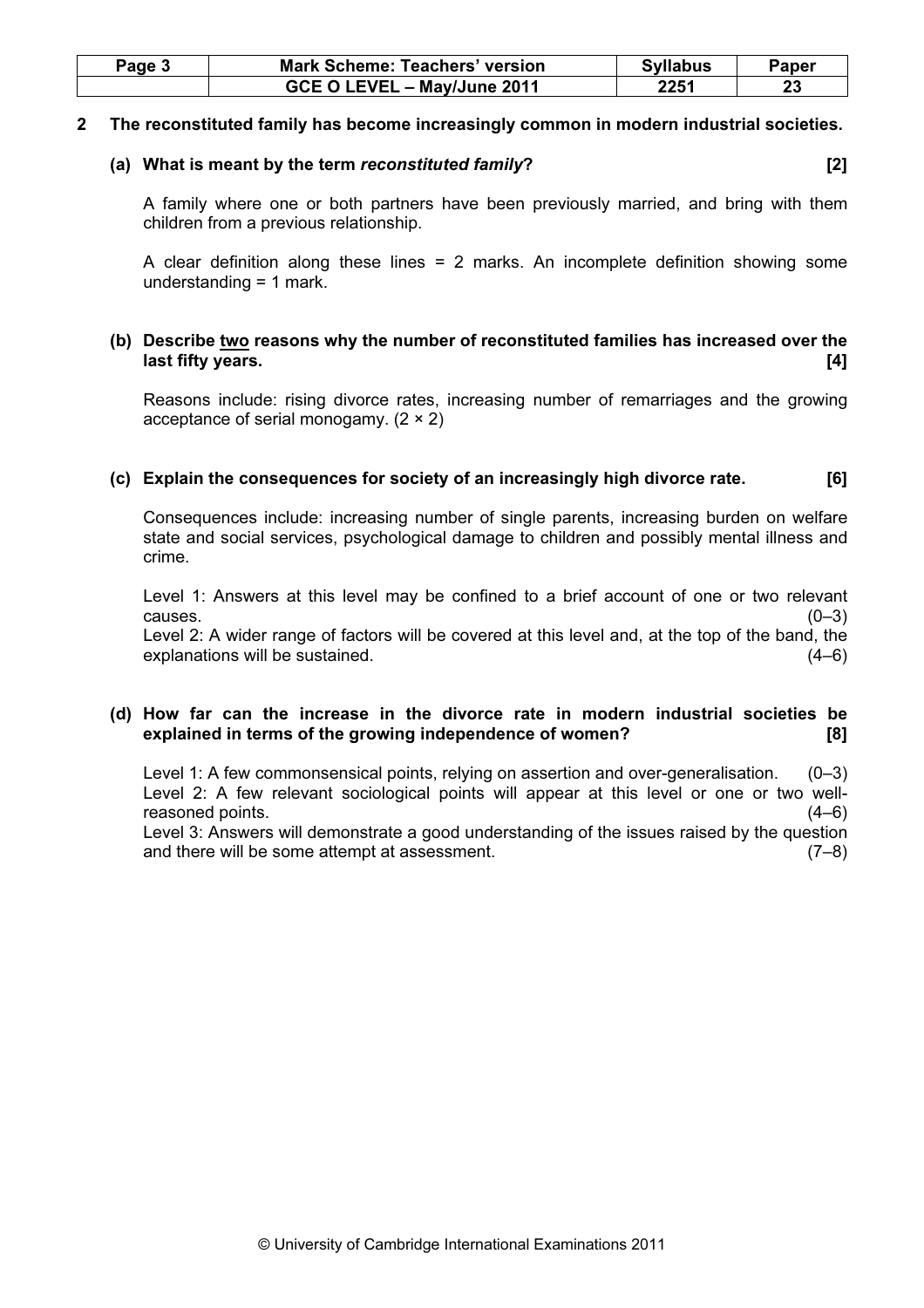| Page 3 | <b>Mark Scheme: Teachers' version</b> | <b>Syllabus</b> | Paper |
|--------|---------------------------------------|-----------------|-------|
|        | GCE O LEVEL - May/June 2011           | 2251            |       |

#### 2 The reconstituted family has become increasingly common in modern industrial societies.

### (a) What is meant by the term reconstituted family? [2]

A family where one or both partners have been previously married, and bring with them children from a previous relationship.

A clear definition along these lines  $= 2$  marks. An incomplete definition showing some understanding = 1 mark.

# (b) Describe two reasons why the number of reconstituted families has increased over the last fifty years. [4] **Solution** is a set of the set of the set of the set of the set of the set of the set of the set of the set of the set of the set of the set of the set of the set of the set of the set of the set of t

Reasons include: rising divorce rates, increasing number of remarriages and the growing acceptance of serial monogamy. (2 × 2)

# (c) Explain the consequences for society of an increasingly high divorce rate. [6]

Consequences include: increasing number of single parents, increasing burden on welfare state and social services, psychological damage to children and possibly mental illness and crime.

Level 1: Answers at this level may be confined to a brief account of one or two relevant causes.  $(0-3)$ 

Level 2: A wider range of factors will be covered at this level and, at the top of the band, the explanations will be sustained. (4–6)

# (d) How far can the increase in the divorce rate in modern industrial societies be explained in terms of the growing independence of women? [8]

Level 1: A few commonsensical points, relying on assertion and over-generalisation. (0–3) Level 2: A few relevant sociological points will appear at this level or one or two wellreasoned points. (4–6)

Level 3: Answers will demonstrate a good understanding of the issues raised by the question and there will be some attempt at assessment. (7–8)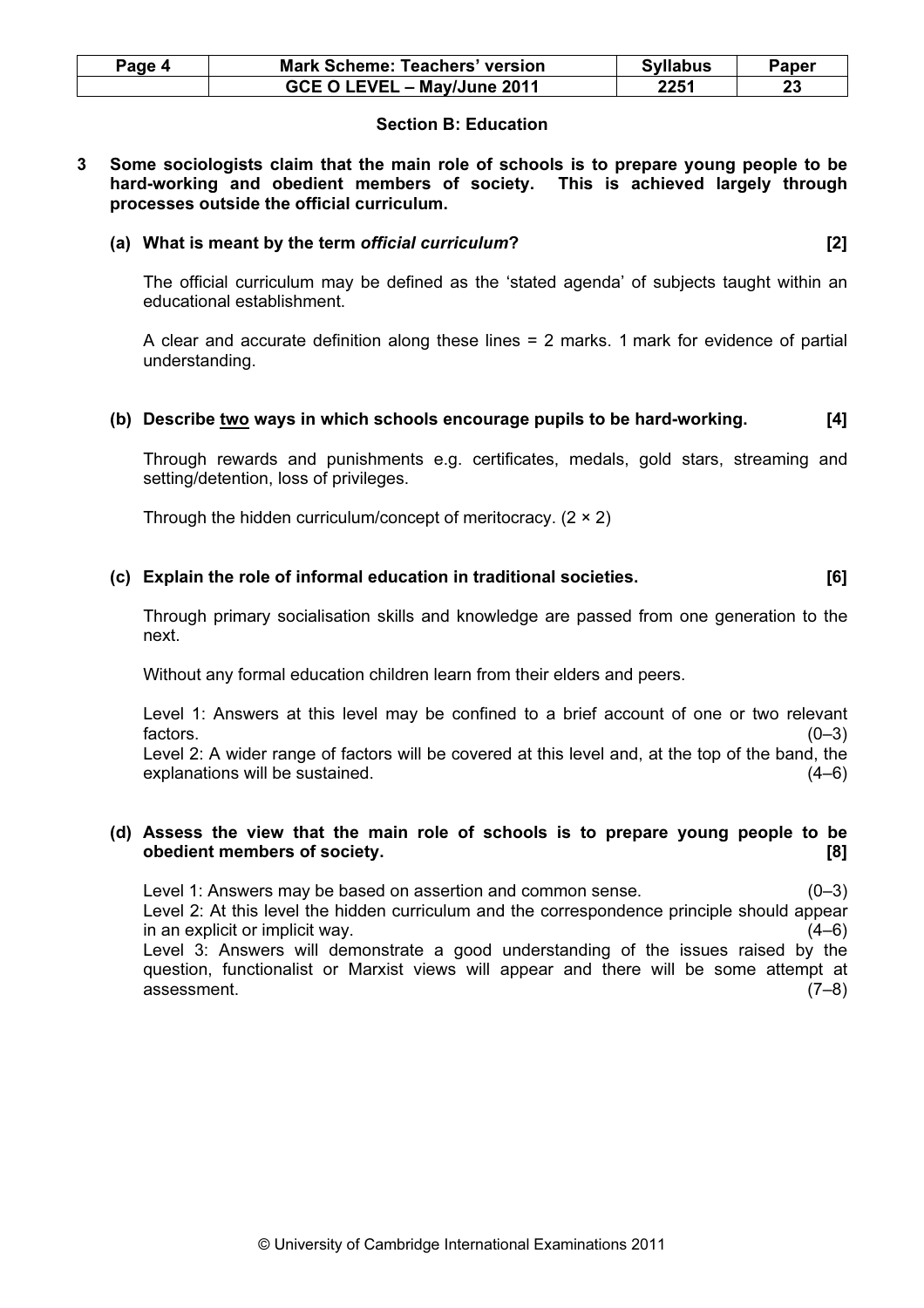| Page 4 | <b>Mark Scheme: Teachers' version</b> | <b>Syllabus</b> | Paper |
|--------|---------------------------------------|-----------------|-------|
|        | GCE O LEVEL - May/June 2011           | 2251            | 23    |

# Section B: Education

3 Some sociologists claim that the main role of schools is to prepare young people to be hard-working and obedient members of society. This is achieved largely through processes outside the official curriculum.

#### (a) What is meant by the term official curriculum? [2]

The official curriculum may be defined as the 'stated agenda' of subjects taught within an educational establishment.

A clear and accurate definition along these lines = 2 marks. 1 mark for evidence of partial understanding.

### (b) Describe two ways in which schools encourage pupils to be hard-working. [4]

Through rewards and punishments e.g. certificates, medals, gold stars, streaming and setting/detention, loss of privileges.

Through the hidden curriculum/concept of meritocracy.  $(2 \times 2)$ 

### (c) Explain the role of informal education in traditional societies. [6]

Through primary socialisation skills and knowledge are passed from one generation to the next.

Without any formal education children learn from their elders and peers.

Level 1: Answers at this level may be confined to a brief account of one or two relevant factors.  $(0-3)$ 

Level 2: A wider range of factors will be covered at this level and, at the top of the band, the explanations will be sustained. (4–6)

### (d) Assess the view that the main role of schools is to prepare young people to be obedient members of society. [8]

Level 1: Answers may be based on assertion and common sense. (0–3) Level 2: At this level the hidden curriculum and the correspondence principle should appear in an explicit or implicit way. (4–6) Level 3: Answers will demonstrate a good understanding of the issues raised by the question, functionalist or Marxist views will appear and there will be some attempt at assessment. (7–8)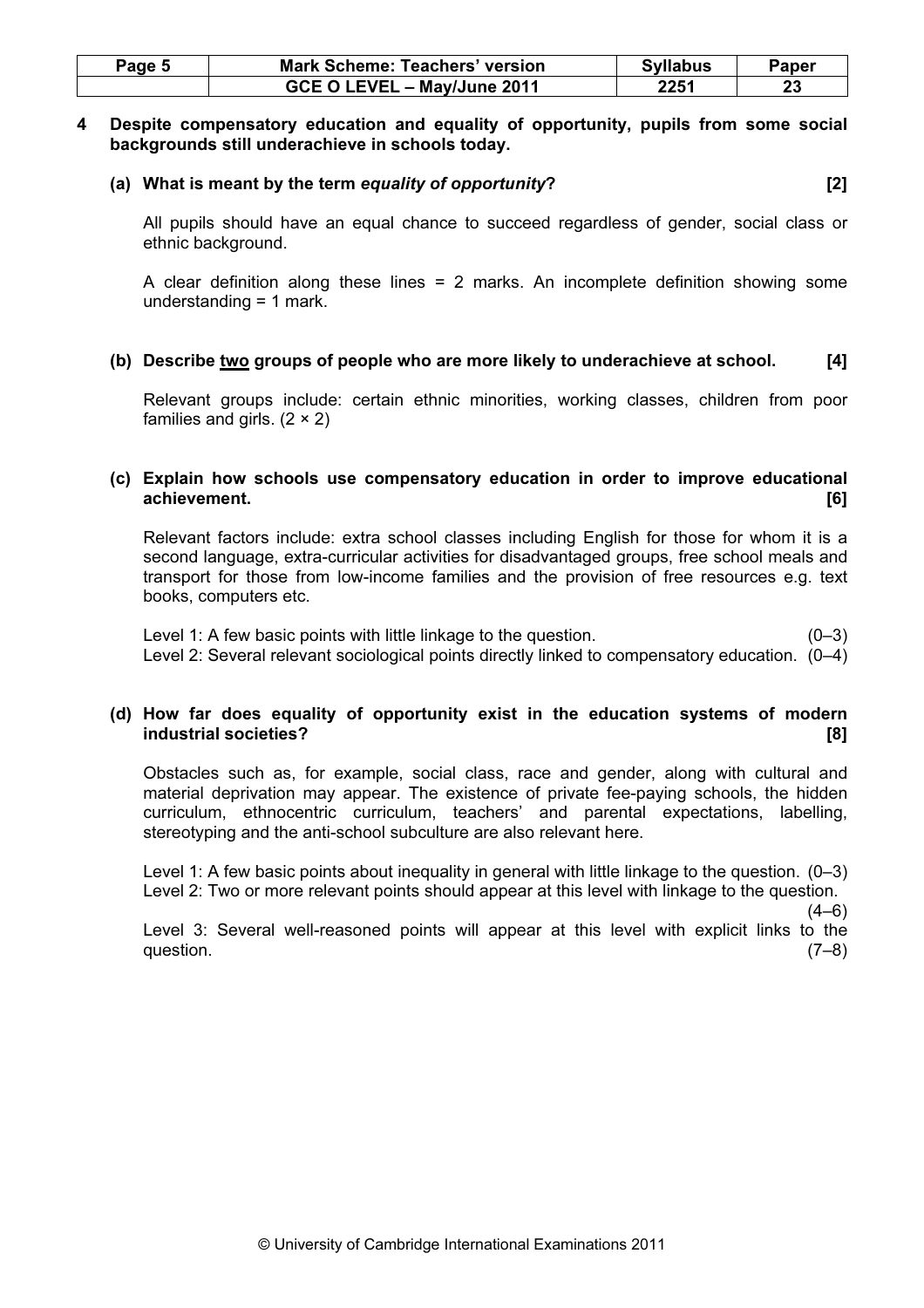| Page 5 | <b>Mark Scheme: Teachers' version</b> | <b>Syllabus</b> | Paper |
|--------|---------------------------------------|-----------------|-------|
|        | GCE O LEVEL - May/June 2011           | 2251            | 23    |

#### 4 Despite compensatory education and equality of opportunity, pupils from some social backgrounds still underachieve in schools today.

#### (a) What is meant by the term equality of opportunity? [2]

All pupils should have an equal chance to succeed regardless of gender, social class or ethnic background.

A clear definition along these lines = 2 marks. An incomplete definition showing some understanding = 1 mark.

# (b) Describe two groups of people who are more likely to underachieve at school. [4]

Relevant groups include: certain ethnic minorities, working classes, children from poor families and girls.  $(2 \times 2)$ 

### (c) Explain how schools use compensatory education in order to improve educational achievement. [6]

Relevant factors include: extra school classes including English for those for whom it is a second language, extra-curricular activities for disadvantaged groups, free school meals and transport for those from low-income families and the provision of free resources e.g. text books, computers etc.

Level 1: A few basic points with little linkage to the question. (0–3) Level 2: Several relevant sociological points directly linked to compensatory education. (0–4)

### (d) How far does equality of opportunity exist in the education systems of modern industrial societies? [8]

Obstacles such as, for example, social class, race and gender, along with cultural and material deprivation may appear. The existence of private fee-paying schools, the hidden curriculum, ethnocentric curriculum, teachers' and parental expectations, labelling, stereotyping and the anti-school subculture are also relevant here.

Level 1: A few basic points about inequality in general with little linkage to the question. (0–3) Level 2: Two or more relevant points should appear at this level with linkage to the question.

 $(4-6)$ 

Level 3: Several well-reasoned points will appear at this level with explicit links to the question.  $(7-8)$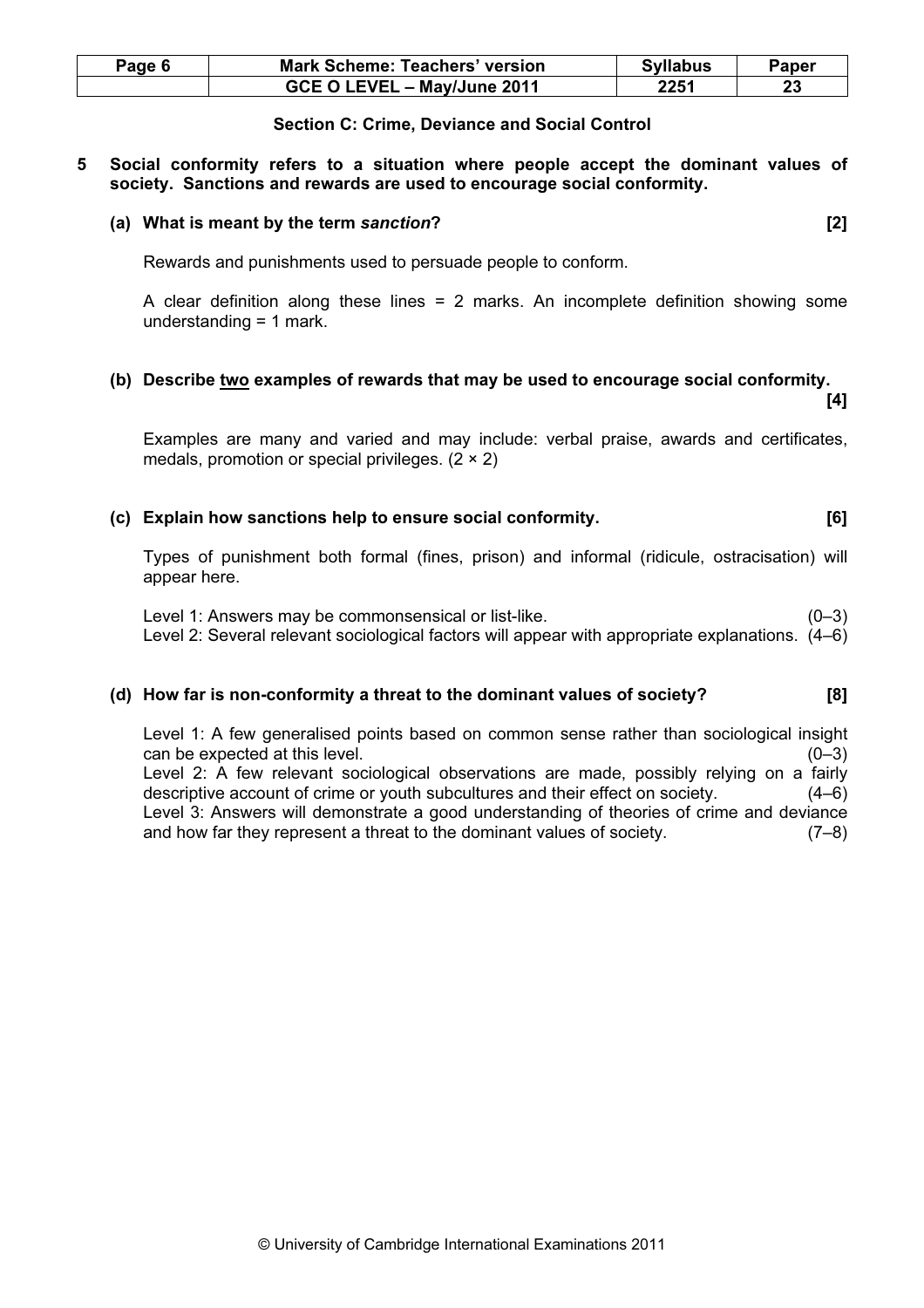| Page 6 | <b>Mark Scheme: Teachers' version</b> | <b>Syllabus</b> | Paper |
|--------|---------------------------------------|-----------------|-------|
|        | GCE O LEVEL - May/June 2011           | 2251            |       |

#### Section C: Crime, Deviance and Social Control

#### 5 Social conformity refers to a situation where people accept the dominant values of society. Sanctions and rewards are used to encourage social conformity.

#### (a) What is meant by the term sanction? [2]

Rewards and punishments used to persuade people to conform.

A clear definition along these lines = 2 marks. An incomplete definition showing some understanding = 1 mark.

### (b) Describe two examples of rewards that may be used to encourage social conformity.  $[4]$

Examples are many and varied and may include: verbal praise, awards and certificates, medals, promotion or special privileges.  $(2 \times 2)$ 

# (c) Explain how sanctions help to ensure social conformity. [6]

Types of punishment both formal (fines, prison) and informal (ridicule, ostracisation) will appear here.

Level 1: Answers may be commonsensical or list-like.  $(0-3)$ Level 2: Several relevant sociological factors will appear with appropriate explanations. (4–6)

# (d) How far is non-conformity a threat to the dominant values of society? [8]

Level 1: A few generalised points based on common sense rather than sociological insight can be expected at this level. (0–3) Level 2: A few relevant sociological observations are made, possibly relying on a fairly descriptive account of crime or youth subcultures and their effect on society. (4–6) Level 3: Answers will demonstrate a good understanding of theories of crime and deviance and how far they represent a threat to the dominant values of society. (7–8)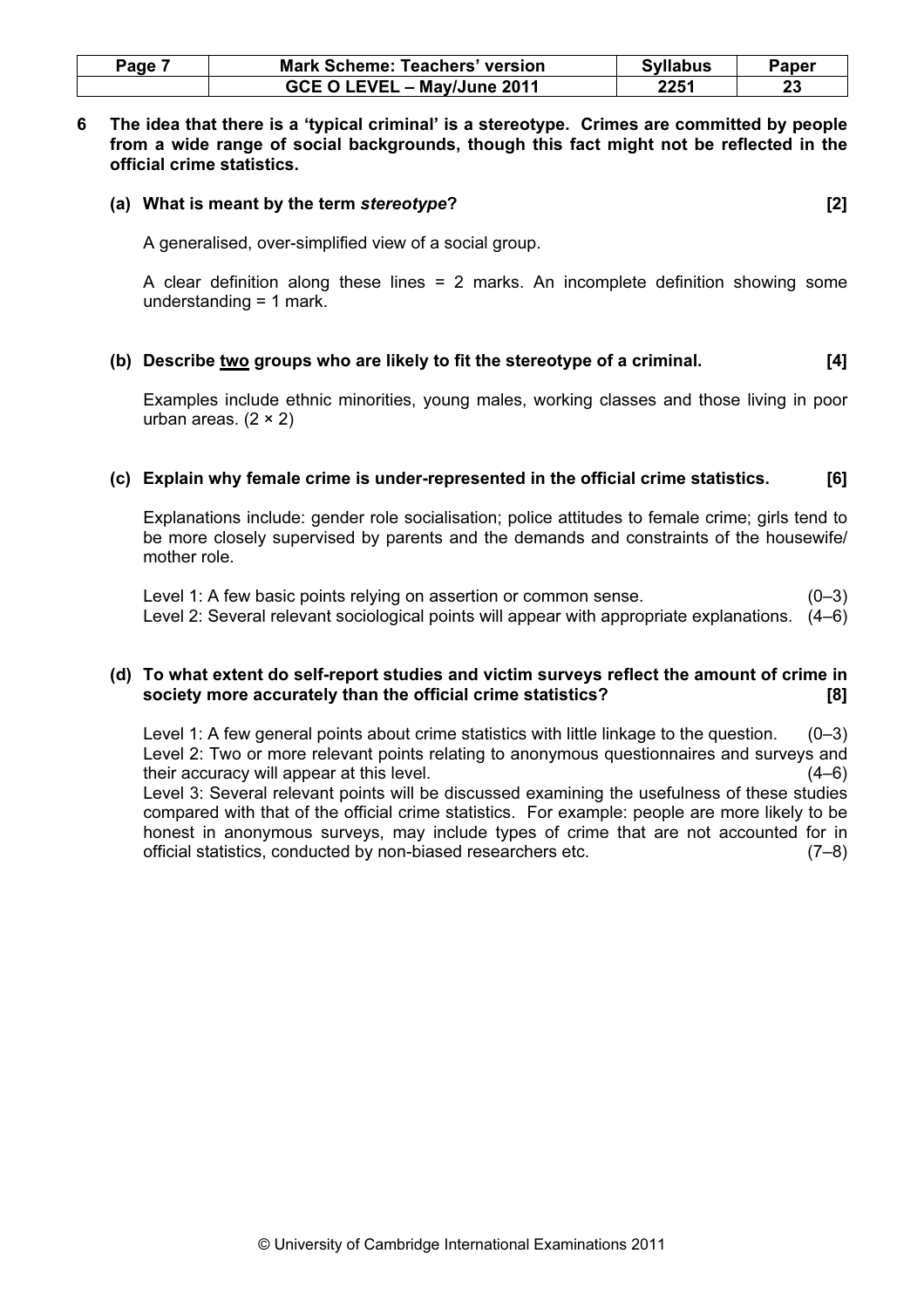| Page | <b>Mark Scheme: Teachers' version</b> | <b>Syllabus</b> | Paper |
|------|---------------------------------------|-----------------|-------|
|      | GCE O LEVEL - May/June 2011           | 2251            | 23    |

6 The idea that there is a 'typical criminal' is a stereotype. Crimes are committed by people from a wide range of social backgrounds, though this fact might not be reflected in the official crime statistics.

#### (a) What is meant by the term stereotype? [2]

A generalised, over-simplified view of a social group.

A clear definition along these lines = 2 marks. An incomplete definition showing some understanding = 1 mark.

#### (b) Describe two groups who are likely to fit the stereotype of a criminal. [4]

Examples include ethnic minorities, young males, working classes and those living in poor urban areas.  $(2 \times 2)$ 

#### (c) Explain why female crime is under-represented in the official crime statistics. [6]

Explanations include: gender role socialisation; police attitudes to female crime; girls tend to be more closely supervised by parents and the demands and constraints of the housewife/ mother role.

Level 1: A few basic points relying on assertion or common sense.  $(0-3)$ Level 2: Several relevant sociological points will appear with appropriate explanations. (4–6)

### (d) To what extent do self-report studies and victim surveys reflect the amount of crime in society more accurately than the official crime statistics? [8]

Level 1: A few general points about crime statistics with little linkage to the question. (0–3) Level 2: Two or more relevant points relating to anonymous questionnaires and surveys and their accuracy will appear at this level. (4–6) Level 3: Several relevant points will be discussed examining the usefulness of these studies compared with that of the official crime statistics. For example: people are more likely to be honest in anonymous surveys, may include types of crime that are not accounted for in official statistics, conducted by non-biased researchers etc. (7–8)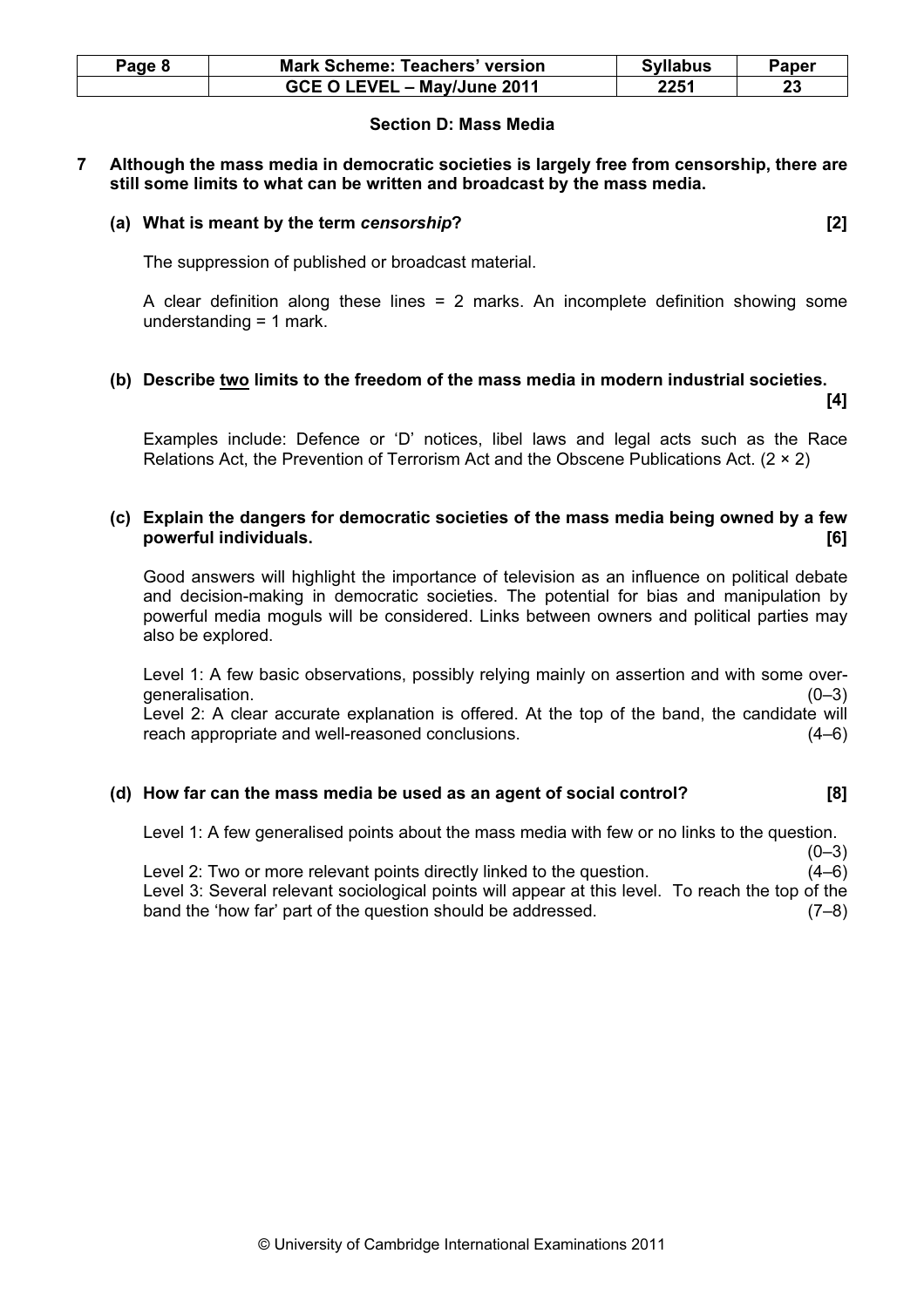| Page 8 | <b>Mark Scheme: Teachers' version</b> | <b>Syllabus</b> | Paper |
|--------|---------------------------------------|-----------------|-------|
|        | GCE O LEVEL - May/June 2011           | 2251            |       |

# Section D: Mass Media

#### 7 Although the mass media in democratic societies is largely free from censorship, there are still some limits to what can be written and broadcast by the mass media.

### (a) What is meant by the term censorship? [2]

The suppression of published or broadcast material.

A clear definition along these lines = 2 marks. An incomplete definition showing some understanding = 1 mark.

# (b) Describe two limits to the freedom of the mass media in modern industrial societies.  $[4]$

Examples include: Defence or 'D' notices, libel laws and legal acts such as the Race Relations Act, the Prevention of Terrorism Act and the Obscene Publications Act.  $(2 \times 2)$ 

# (c) Explain the dangers for democratic societies of the mass media being owned by a few powerful individuals. [6]

Good answers will highlight the importance of television as an influence on political debate and decision-making in democratic societies. The potential for bias and manipulation by powerful media moguls will be considered. Links between owners and political parties may also be explored.

Level 1: A few basic observations, possibly relying mainly on assertion and with some overgeneralisation. (0–3)

Level 2: A clear accurate explanation is offered. At the top of the band, the candidate will reach appropriate and well-reasoned conclusions. (4–6)

# (d) How far can the mass media be used as an agent of social control? [8]

Level 1: A few generalised points about the mass media with few or no links to the question.

 $(0-3)$ Level 2: Two or more relevant points directly linked to the question. (4–6) Level 3: Several relevant sociological points will appear at this level. To reach the top of the band the 'how far' part of the question should be addressed. (7–8)